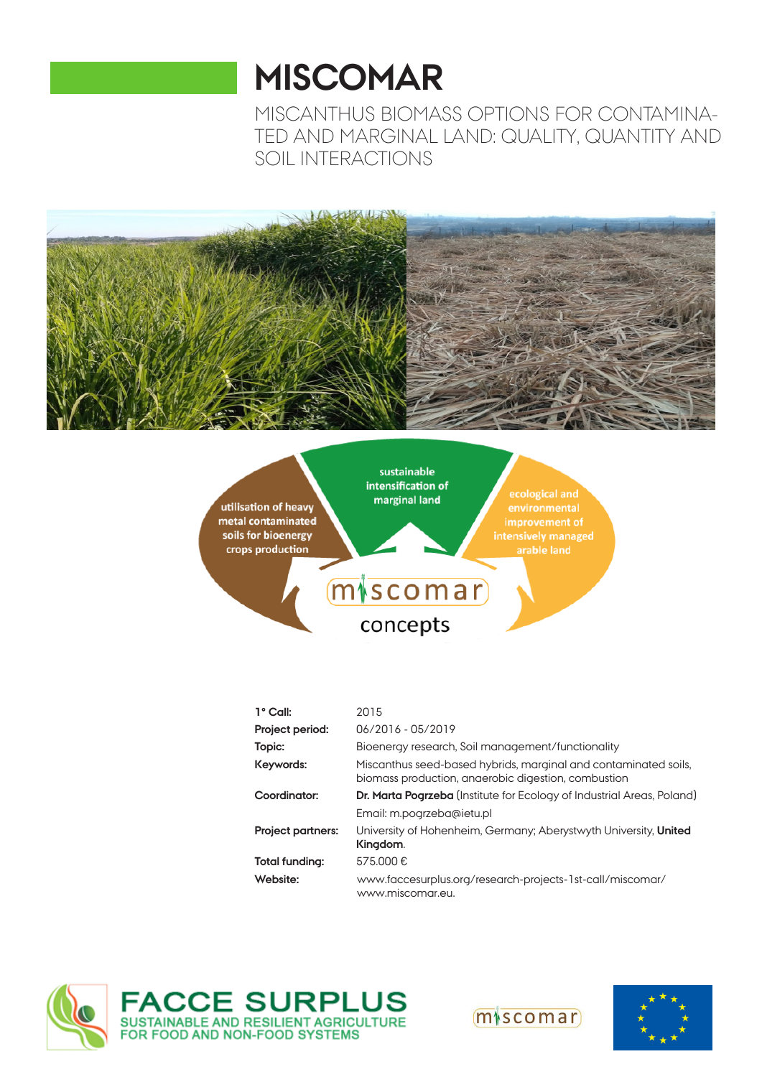# **MISCOMAR**

MISCANTHUS BIOMASS OPTIONS FOR CONTAMINA-TED AND MARGINAL LAND: QUALITY, QUANTITY AND SOIL INTERACTIONS





| 1° Call:                 | 2015                                                                                                                   |
|--------------------------|------------------------------------------------------------------------------------------------------------------------|
| Project period:          | 06/2016 - 05/2019                                                                                                      |
| Topic:                   | Bioenergy research, Soil management/functionality                                                                      |
| Keywords:                | Miscanthus seed-based hybrids, marginal and contaminated soils,<br>biomass production, angerobic digestion, combustion |
| Coordinator:             | <b>Dr. Marta Pogrzeba</b> (Institute for Ecology of Industrial Areas, Poland)                                          |
|                          | Email: m.pogrzeba@ietu.pl                                                                                              |
| <b>Project partners:</b> | University of Hohenheim, Germany; Aberystwyth University, United<br>Kingdom.                                           |
| Total funding:           | 575.000€                                                                                                               |
| Website:                 | www.faccesurplus.org/research-projects-1st-call/miscomar/<br>www.miscomar.eu.                                          |

 $(m|scomar)$